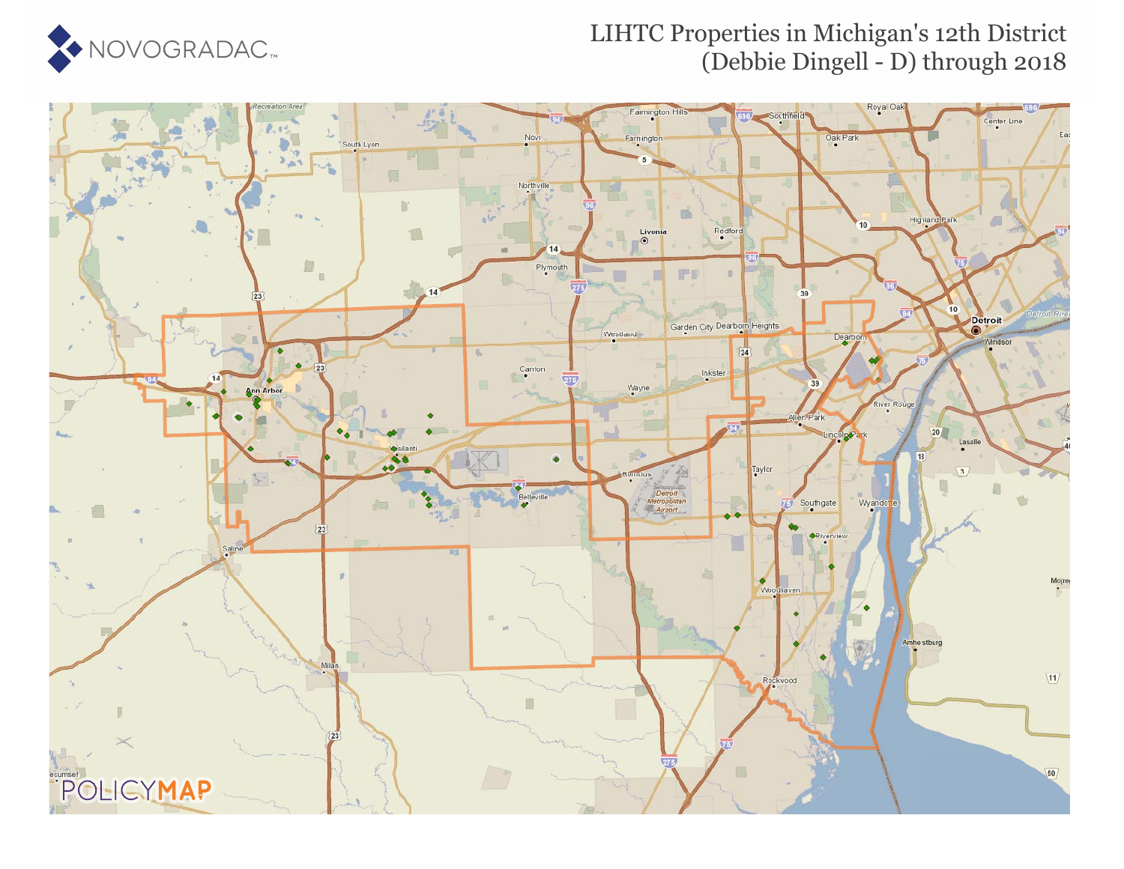

#### LIHTC Properties in Michigan's 12th District (Debbie Dingell - D) through 2018

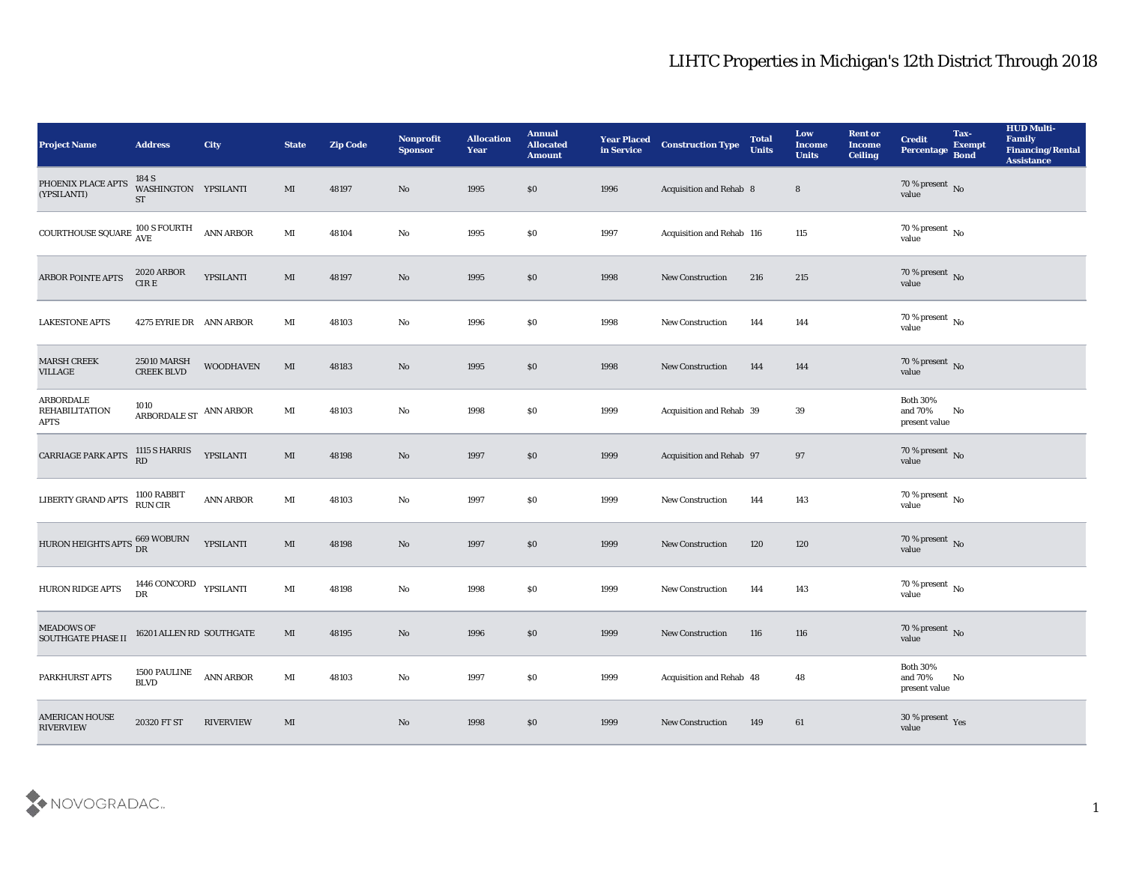| <b>Project Name</b>                                      | <b>Address</b>                                                                                       | <b>City</b>      | <b>State</b>           | <b>Zip Code</b> | Nonprofit<br><b>Sponsor</b> | <b>Allocation</b><br><b>Year</b> | <b>Annual</b><br><b>Allocated</b><br><b>Amount</b> | <b>Year Placed</b><br>in Service | <b>Construction Type</b>  | <b>Total</b><br><b>Units</b> | Low<br><b>Income</b><br><b>Units</b> | <b>Rent or</b><br><b>Income</b><br><b>Ceiling</b> | <b>Credit</b><br>Percentage                 | Tax-<br><b>Exempt</b><br><b>Bond</b> | <b>HUD Multi-</b><br>Family<br><b>Financing/Rental</b><br><b>Assistance</b> |
|----------------------------------------------------------|------------------------------------------------------------------------------------------------------|------------------|------------------------|-----------------|-----------------------------|----------------------------------|----------------------------------------------------|----------------------------------|---------------------------|------------------------------|--------------------------------------|---------------------------------------------------|---------------------------------------------|--------------------------------------|-----------------------------------------------------------------------------|
| PHOENIX PLACE APTS<br>(YPSILANTI)                        | 184 S<br>WASHINGTON YPSILANTI<br><b>ST</b>                                                           |                  | MI                     | 48197           | No                          | 1995                             | \$0                                                | 1996                             | Acquisition and Rehab 8   |                              | $8\phantom{1}$                       |                                                   | $70\,\%$ present $\,$ No value              |                                      |                                                                             |
| COURTHOUSE SQUARE $^{100\, \rm S} _{\rm AVE}$            |                                                                                                      | <b>ANN ARBOR</b> | $\mathbf{M}\mathbf{I}$ | 48104           | No                          | 1995                             | \$0                                                | 1997                             | Acquisition and Rehab 116 |                              | 115                                  |                                                   | $70\,\%$ present $\,$ No value              |                                      |                                                                             |
| ARBOR POINTE APTS                                        | <b>2020 ARBOR</b><br>$CIRE$                                                                          | YPSILANTI        | MI                     | 48197           | $\mathbf{N}\mathbf{o}$      | 1995                             | \$0                                                | 1998                             | New Construction          | 216                          | 215                                  |                                                   | $70\,\%$ present $\,$ No value              |                                      |                                                                             |
| <b>LAKESTONE APTS</b>                                    | 4275 EYRIE DR ANN ARBOR                                                                              |                  | $\mathbf{M}$ I         | 48103           | $\mathbf{N}\mathbf{o}$      | 1996                             | $\$0$                                              | 1998                             | New Construction          | 144                          | 144                                  |                                                   | $70\,\%$ present $\,$ No value              |                                      |                                                                             |
| <b>MARSH CREEK</b><br><b>VILLAGE</b>                     | <b>25010 MARSH</b><br><b>CREEK BLVD</b>                                                              | <b>WOODHAVEN</b> | MI                     | 48183           | No                          | 1995                             | \$0                                                | 1998                             | New Construction          | 144                          | 144                                  |                                                   | $70\,\%$ present $\,$ No value              |                                      |                                                                             |
| <b>ARBORDALE</b><br><b>REHABILITATION</b><br><b>APTS</b> | 1010<br>${\large\bf ARBORDALE}\ {\large\bf ST} {\large\bf \quad} {\large\bf ANN}\ {\large\bf ARBOR}$ |                  | $\mathbf{M}$ I         | 48103           | $\mathbf{N}\mathbf{o}$      | 1998                             | \$0                                                | 1999                             | Acquisition and Rehab 39  |                              | 39                                   |                                                   | <b>Both 30%</b><br>and 70%<br>present value | No                                   |                                                                             |
| CARRIAGE PARK APTS                                       | 1115 S HARRIS<br>RD                                                                                  | YPSILANTI        | $\mathbf{M}$           | 48198           | $\mathbf{N}\mathbf{o}$      | 1997                             | \$0                                                | 1999                             | Acquisition and Rehab 97  |                              | 97                                   |                                                   | $70\,\%$ present $\,$ No value              |                                      |                                                                             |
| LIBERTY GRAND APTS                                       | 1100 RABBIT<br>RUN CIR                                                                               | <b>ANN ARBOR</b> | MI                     | 48103           | $\mathbf{N}\mathbf{o}$      | 1997                             | \$0                                                | 1999                             | <b>New Construction</b>   | 144                          | 143                                  |                                                   | $70\,\%$ present $\,$ No value              |                                      |                                                                             |
| HURON HEIGHTS APTS $^{669}_{\rm DR}$ WOBURN              |                                                                                                      | YPSILANTI        | MI                     | 48198           | No                          | 1997                             | \$0                                                | 1999                             | <b>New Construction</b>   | 120                          | 120                                  |                                                   | $70\,\%$ present $\,$ No value              |                                      |                                                                             |
| HURON RIDGE APTS                                         | 1446 CONCORD YPSILANTI<br>DR                                                                         |                  | $\mathbf{M}$ I         | 48198           | $\mathbf{N}\mathbf{o}$      | 1998                             | \$0                                                | 1999                             | <b>New Construction</b>   | 144                          | 143                                  |                                                   | $70\,\%$ present $\,$ No value              |                                      |                                                                             |
| <b>MEADOWS OF</b><br><b>SOUTHGATE PHASE II</b>           | 16201 ALLEN RD SOUTHGATE                                                                             |                  | MI                     | 48195           | No                          | 1996                             | \$0                                                | 1999                             | <b>New Construction</b>   | 116                          | 116                                  |                                                   | $70\,\%$ present $\,$ No value              |                                      |                                                                             |
| PARKHURST APTS                                           | 1500 PAULINE<br><b>BLVD</b>                                                                          | <b>ANN ARBOR</b> | $\mathbf{M}\mathbf{I}$ | 48103           | $\rm\, No$                  | 1997                             | $\$0$                                              | 1999                             | Acquisition and Rehab 48  |                              | 48                                   |                                                   | Both $30\%$<br>and $70\%$<br>present value  | No                                   |                                                                             |
| <b>AMERICAN HOUSE</b><br><b>RIVERVIEW</b>                | 20320 FT ST                                                                                          | <b>RIVERVIEW</b> | $\mathbf{M}\mathbf{I}$ |                 | $\mathbf {No}$              | 1998                             | \$0                                                | 1999                             | <b>New Construction</b>   | 149                          | 61                                   |                                                   | $30\,\%$ present $\,$ Yes value             |                                      |                                                                             |

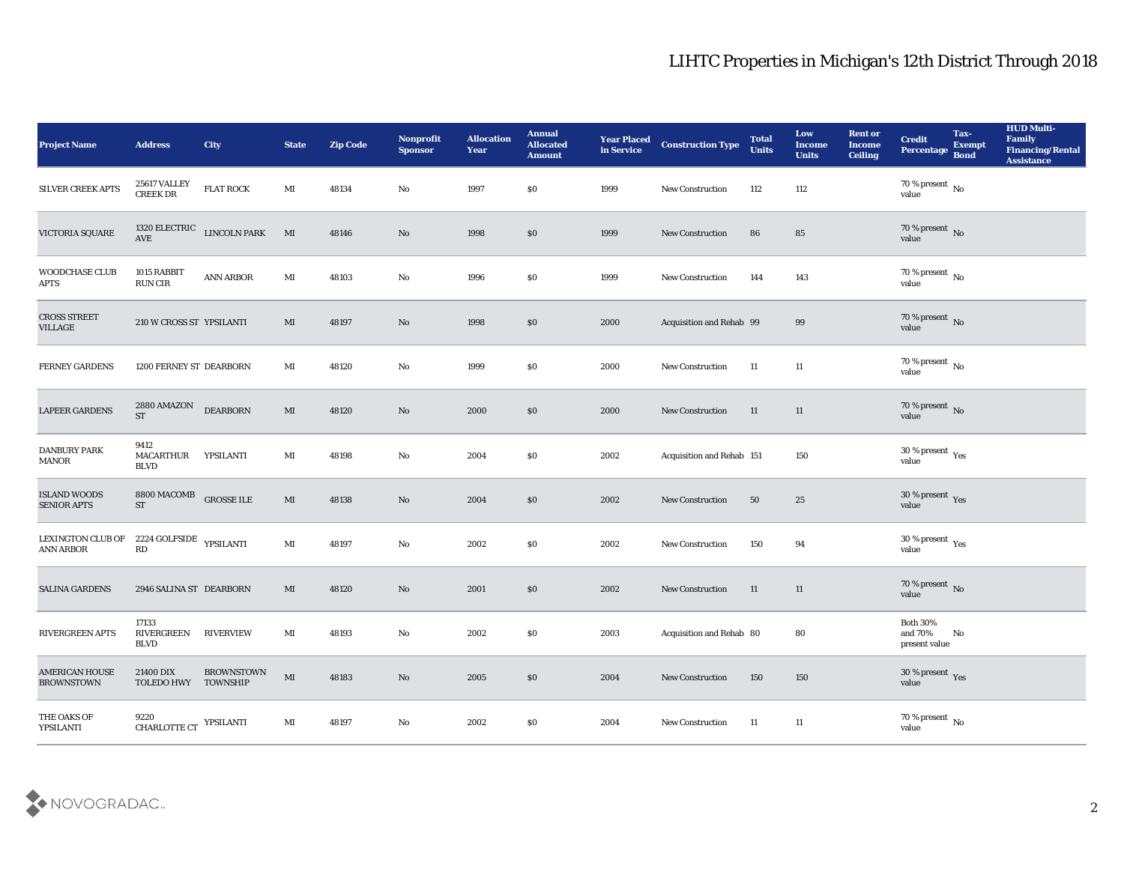| <b>Project Name</b>                        | <b>Address</b>                            | <b>City</b>                | <b>State</b>           | <b>Zip Code</b> | Nonprofit<br><b>Sponsor</b> | <b>Allocation</b><br><b>Year</b> | <b>Annual</b><br><b>Allocated</b><br><b>Amount</b> | <b>Year Placed</b><br>in Service | <b>Construction Type</b>  | <b>Total</b><br><b>Units</b> | Low<br><b>Income</b><br><b>Units</b> | <b>Rent or</b><br><b>Income</b><br><b>Ceiling</b> | <b>Credit</b><br>Percentage Bond            | Tax-<br><b>Exempt</b> | <b>HUD Multi-</b><br>Family<br><b>Financing/Rental</b><br><b>Assistance</b> |
|--------------------------------------------|-------------------------------------------|----------------------------|------------------------|-----------------|-----------------------------|----------------------------------|----------------------------------------------------|----------------------------------|---------------------------|------------------------------|--------------------------------------|---------------------------------------------------|---------------------------------------------|-----------------------|-----------------------------------------------------------------------------|
| SILVER CREEK APTS                          | 25617 VALLEY<br><b>CREEK DR</b>           | <b>FLAT ROCK</b>           | MI                     | 48134           | No                          | 1997                             | \$0                                                | 1999                             | New Construction          | 112                          | 112                                  |                                                   | 70 % present No<br>value                    |                       |                                                                             |
| VICTORIA SQUARE                            | $\operatorname{AVE}$                      | 1320 ELECTRIC LINCOLN PARK | M                      | 48146           | No                          | 1998                             | \$0                                                | 1999                             | <b>New Construction</b>   | 86                           | 85                                   |                                                   | $70\,\%$ present $\,$ No $\,$ value         |                       |                                                                             |
| WOODCHASE CLUB<br>APTS                     | 1015 RABBIT<br>RUN CIR                    | <b>ANN ARBOR</b>           | $\mathbf{M}$           | 48103           | $\rm\thinspace No$          | 1996                             | \$0                                                | 1999                             | <b>New Construction</b>   | 144                          | 143                                  |                                                   | $70\,\%$ present $\,$ No value              |                       |                                                                             |
| <b>CROSS STREET</b><br><b>VILLAGE</b>      | 210 W CROSS ST YPSILANTI                  |                            | MI                     | 48197           | No                          | 1998                             | \$0                                                | 2000                             | Acquisition and Rehab 99  |                              | 99                                   |                                                   | $70\,\%$ present $\,$ No value              |                       |                                                                             |
| <b>FERNEY GARDENS</b>                      | 1200 FERNEY ST DEARBORN                   |                            | MI                     | 48120           | $\rm\thinspace No$          | 1999                             | \$0                                                | 2000                             | <b>New Construction</b>   | 11                           | 11                                   |                                                   | $70\,\%$ present $\,$ No value              |                       |                                                                             |
| <b>LAPEER GARDENS</b>                      | 2880 AMAZON<br><b>ST</b>                  | <b>DEARBORN</b>            | MI                     | 48120           | No                          | 2000                             | \$0                                                | 2000                             | <b>New Construction</b>   | 11                           | 11                                   |                                                   | $70\,\%$ present $\,$ No value              |                       |                                                                             |
| <b>DANBURY PARK</b><br>MANOR               | 9412<br><b>MACARTHUR</b><br><b>BLVD</b>   | YPSILANTI                  | MI                     | 48198           | No                          | 2004                             | \$0                                                | 2002                             | Acquisition and Rehab 151 |                              | 150                                  |                                                   | $30\,\%$ present $\,$ Yes value             |                       |                                                                             |
| <b>ISLAND WOODS</b><br><b>SENIOR APTS</b>  | 8800 MACOMB<br><b>ST</b>                  | <b>GROSSE ILE</b>          | MI                     | 48138           | No                          | 2004                             | \$0                                                | 2002                             | New Construction          | 50                           | 25                                   |                                                   | $30\,\%$ present $\,$ Yes value             |                       |                                                                             |
| LEXINGTON CLUB OF<br>ANN ARBOR             | $2224$ GOLFSIDE $\,$ YPSILANTI<br>RD      |                            | MI                     | 48197           | $\mathbf{N}\mathbf{o}$      | 2002                             | \$0                                                | 2002                             | New Construction          | 150                          | 94                                   |                                                   | $30\,\%$ present $\,$ Yes value             |                       |                                                                             |
| <b>SALINA GARDENS</b>                      | 2946 SALINA ST DEARBORN                   |                            | MI                     | 48120           | No                          | 2001                             | \$0                                                | 2002                             | <b>New Construction</b>   | 11                           | 11                                   |                                                   | $70\,\%$ present $\,$ No value              |                       |                                                                             |
| <b>RIVERGREEN APTS</b>                     | 17133<br><b>RIVERGREEN</b><br><b>BLVD</b> | <b>RIVERVIEW</b>           | MI                     | 48193           | No                          | 2002                             | \$0                                                | 2003                             | Acquisition and Rehab 80  |                              | 80                                   |                                                   | <b>Both 30%</b><br>and 70%<br>present value | No                    |                                                                             |
| <b>AMERICAN HOUSE</b><br><b>BROWNSTOWN</b> | 21400 DIX<br>TOLEDO HWY TOWNSHIP          | <b>BROWNSTOWN</b>          | $\mathbf{M}\mathbf{I}$ | 48183           | $\rm\thinspace No$          | 2005                             | $\$0$                                              | 2004                             | New Construction          | 150                          | 150                                  |                                                   | $30\,\%$ present $\,$ Yes value             |                       |                                                                             |
| THE OAKS OF<br>YPSILANTI                   | 9220<br>CHARLOTTE CT                      | YPSILANTI                  | MI                     | 48197           | $\rm\, No$                  | 2002                             | \$0                                                | 2004                             | New Construction          | 11                           | 11                                   |                                                   | $70\,\%$ present $\,$ No value              |                       |                                                                             |

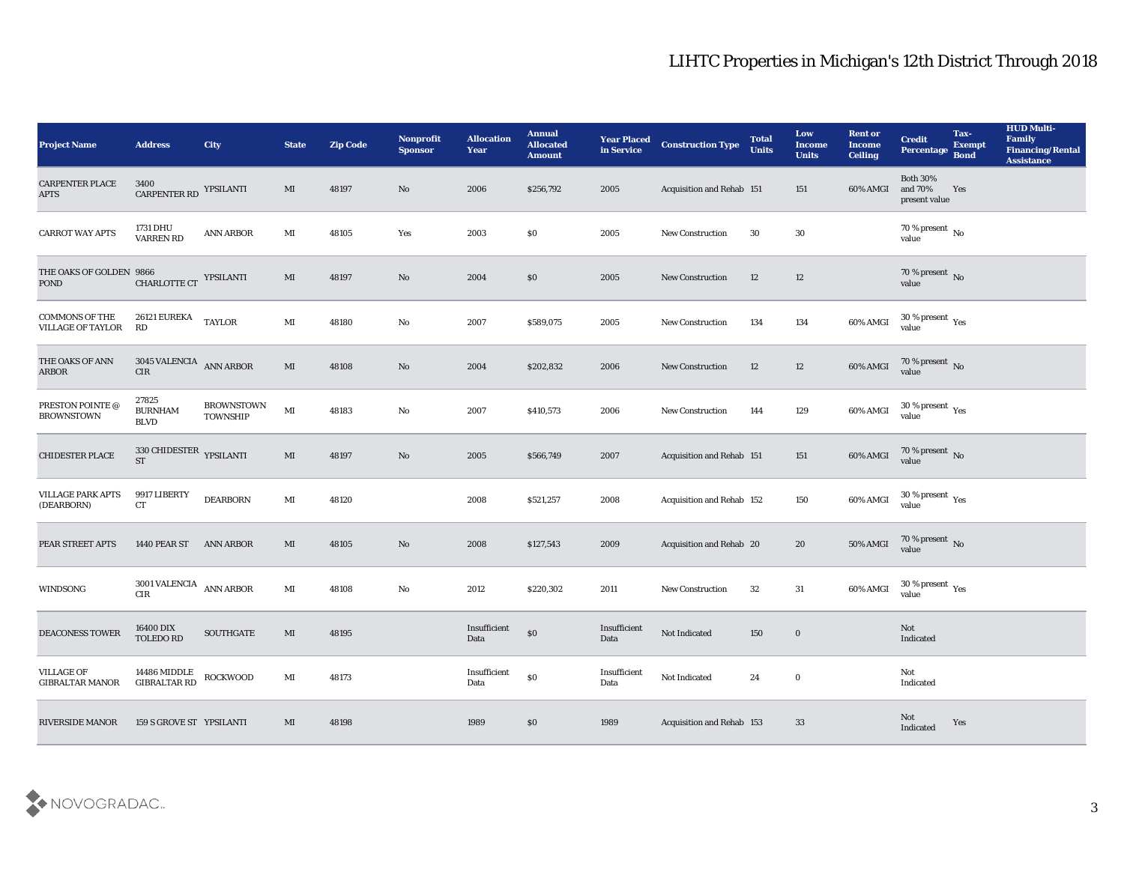| <b>Project Name</b>                               | <b>Address</b>                                | <b>City</b>                   | <b>State</b>           | <b>Zip Code</b> | Nonprofit<br><b>Sponsor</b> | <b>Allocation</b><br><b>Year</b>             | <b>Annual</b><br><b>Allocated</b><br><b>Amount</b> | <b>Year Placed</b><br>in Service | <b>Construction Type</b>         | <b>Total</b><br><b>Units</b> | Low<br><b>Income</b><br><b>Units</b> | <b>Rent or</b><br><b>Income</b><br><b>Ceiling</b> | <b>Credit</b><br>Percentage                 | Tax-<br><b>Exempt</b><br><b>Bond</b> | <b>HUD Multi-</b><br>Family<br><b>Financing/Rental</b><br><b>Assistance</b> |
|---------------------------------------------------|-----------------------------------------------|-------------------------------|------------------------|-----------------|-----------------------------|----------------------------------------------|----------------------------------------------------|----------------------------------|----------------------------------|------------------------------|--------------------------------------|---------------------------------------------------|---------------------------------------------|--------------------------------------|-----------------------------------------------------------------------------|
| <b>CARPENTER PLACE</b><br><b>APTS</b>             | 3400<br>CARPENTER RD YPSILANTI                |                               | MI                     | 48197           | No                          | 2006                                         | \$256,792                                          | 2005                             | Acquisition and Rehab 151        |                              | 151                                  | 60% AMGI                                          | <b>Both 30%</b><br>and 70%<br>present value | Yes                                  |                                                                             |
| <b>CARROT WAY APTS</b>                            | 1731 DHU<br><b>VARREN RD</b>                  | ANN ARBOR                     | MI                     | 48105           | Yes                         | 2003                                         | \$0                                                | 2005                             | <b>New Construction</b>          | 30                           | 30                                   |                                                   | 70 % present $\,$ No $\,$<br>value          |                                      |                                                                             |
| THE OAKS OF GOLDEN 9866<br><b>POND</b>            | <b>CHARLOTTE CT</b>                           | YPSILANTI                     | MI                     | 48197           | No                          | 2004                                         | $\boldsymbol{\mathsf{S}}\boldsymbol{\mathsf{O}}$   | 2005                             | New Construction                 | 12                           | 12                                   |                                                   | $70\,\%$ present $\,$ No value              |                                      |                                                                             |
| <b>COMMONS OF THE</b><br><b>VILLAGE OF TAYLOR</b> | 26121 EUREKA<br>RD                            | <b>TAYLOR</b>                 | $\mathbf{M}$ I         | 48180           | $\rm\thinspace No$          | 2007                                         | \$589,075                                          | 2005                             | <b>New Construction</b>          | 134                          | 134                                  | 60% AMGI                                          | $30\,\%$ present $\,$ Yes value             |                                      |                                                                             |
| THE OAKS OF ANN<br>ARBOR                          | $3045$ VALENCIA $\,$ ANN ARBOR<br>${\rm CIR}$ |                               | MI                     | 48108           | No                          | 2004                                         | \$202,832                                          | 2006                             | <b>New Construction</b>          | 12                           | 12                                   | 60% AMGI                                          | $70$ % present $_{\rm{No}}$ $_{\rm{value}}$ |                                      |                                                                             |
| PRESTON POINTE @<br><b>BROWNSTOWN</b>             | 27825<br><b>BURNHAM</b><br><b>BLVD</b>        | <b>BROWNSTOWN</b><br>TOWNSHIP | $\mathbf{M}\mathbf{I}$ | 48183           | No                          | 2007                                         | \$410,573                                          | 2006                             | <b>New Construction</b>          | 144                          | 129                                  | 60% AMGI                                          | $30\,\%$ present $\,$ Yes value             |                                      |                                                                             |
| <b>CHIDESTER PLACE</b>                            | 330 CHIDESTER YPSILANTI<br><b>ST</b>          |                               | MI                     | 48197           | No                          | 2005                                         | \$566,749                                          | 2007                             | Acquisition and Rehab 151        |                              | 151                                  |                                                   | 60% AMGI 70 % present No                    |                                      |                                                                             |
| <b>VILLAGE PARK APTS</b><br>(DEARBORN)            | 9917 LIBERTY<br><b>CT</b>                     | <b>DEARBORN</b>               | MI                     | 48120           |                             | 2008                                         | \$521,257                                          | 2008                             | <b>Acquisition and Rehab 152</b> |                              | 150                                  | 60% AMGI                                          | $30\,\%$ present $\,$ Yes value             |                                      |                                                                             |
| PEAR STREET APTS                                  | <b>1440 PEAR ST</b>                           | <b>ANN ARBOR</b>              | MI                     | 48105           | No                          | 2008                                         | \$127,543                                          | 2009                             | Acquisition and Rehab 20         |                              | 20                                   | 50% AMGI                                          | $70\,\%$ present $\,$ No value              |                                      |                                                                             |
| WINDSONG                                          | 3001 VALENCIA $\;$ ANN ARBOR<br>CIR           |                               | $\mathbf{M}$ I         | 48108           | No                          | 2012                                         | \$220,302                                          | 2011                             | <b>New Construction</b>          | 32                           | 31                                   | 60% AMGI                                          | $30\,\%$ present $\,$ Yes value             |                                      |                                                                             |
| <b>DEACONESS TOWER</b>                            | 16400 DIX<br><b>TOLEDO RD</b>                 | <b>SOUTHGATE</b>              | MI                     | 48195           |                             | Insufficient<br>Data                         | $\$0$                                              | Insufficient<br>Data             | Not Indicated                    | 150                          | $\bf{0}$                             |                                                   | Not<br>Indicated                            |                                      |                                                                             |
| VILLAGE OF<br><b>GIBRALTAR MANOR</b>              | 14486 MIDDLE<br>GIBRALTAR RD                  | ROCKWOOD                      | $\mathbf{M}$ I         | 48173           |                             | $\label{eq:invariant} In sufficient$<br>Data | $\$0$                                              | Insufficient<br>Data             | Not Indicated                    | 24                           | $\bf{0}$                             |                                                   | $\mathbf{Not}$<br>Indicated                 |                                      |                                                                             |
| <b>RIVERSIDE MANOR</b>                            | 159 S GROVE ST YPSILANTI                      |                               | MI                     | 48198           |                             | 1989                                         | $\$0$                                              | 1989                             | Acquisition and Rehab 153        |                              | 33                                   |                                                   | Not<br>Indicated                            | Yes                                  |                                                                             |

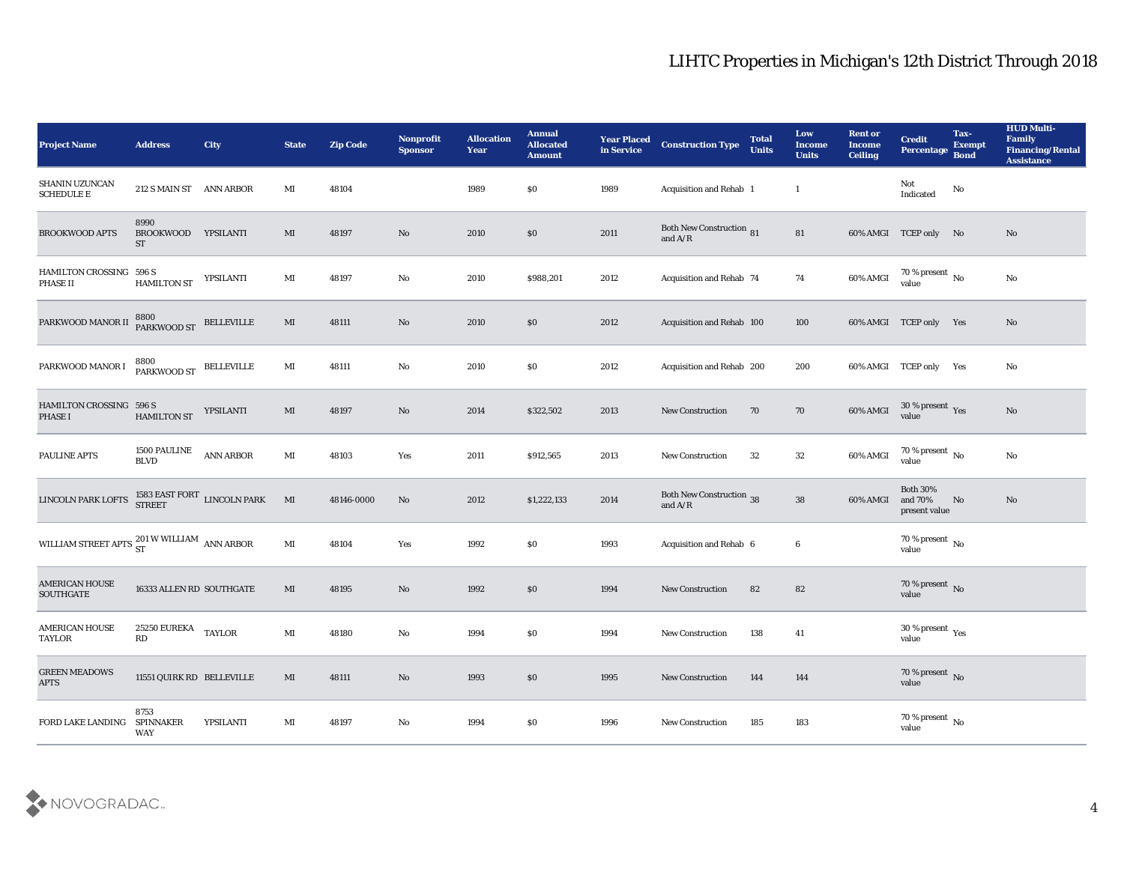| <b>Project Name</b>                                                                          | <b>Address</b>                        | <b>City</b>                          | <b>State</b>   | <b>Zip Code</b> | Nonprofit<br><b>Sponsor</b> | <b>Allocation</b><br>Year | <b>Annual</b><br><b>Allocated</b><br><b>Amount</b> | <b>Year Placed</b><br>in Service | <b>Construction Type</b>                     | <b>Total</b><br><b>Units</b> | Low<br><b>Income</b><br><b>Units</b> | <b>Rent or</b><br><b>Income</b><br><b>Ceiling</b> | <b>Credit</b><br>Percentage Bond            | Tax-<br><b>Exempt</b> | <b>HUD Multi-</b><br>Family<br><b>Financing/Rental</b><br><b>Assistance</b> |
|----------------------------------------------------------------------------------------------|---------------------------------------|--------------------------------------|----------------|-----------------|-----------------------------|---------------------------|----------------------------------------------------|----------------------------------|----------------------------------------------|------------------------------|--------------------------------------|---------------------------------------------------|---------------------------------------------|-----------------------|-----------------------------------------------------------------------------|
| SHANIN UZUNCAN<br><b>SCHEDULE E</b>                                                          | 212 S MAIN ST ANN ARBOR               |                                      | MI             | 48104           |                             | 1989                      | \$0                                                | 1989                             | Acquisition and Rehab 1                      |                              | -1                                   |                                                   | Not<br>Indicated                            | No                    |                                                                             |
| <b>BROOKWOOD APTS</b>                                                                        | 8990<br><b>BROOKWOOD</b><br><b>ST</b> | YPSILANTI                            | MI             | 48197           | No                          | 2010                      | $\$0$                                              | 2011                             | <b>Both New Construction 81</b><br>and $A/R$ |                              | 81                                   |                                                   | 60% AMGI TCEP only No                       |                       | No                                                                          |
| HAMILTON CROSSING 596 S<br>PHASE II                                                          | <b>HAMILTON ST</b>                    | YPSILANTI                            | MI             | 48197           | No                          | 2010                      | \$988,201                                          | 2012                             | Acquisition and Rehab 74                     |                              | 74                                   | 60% AMGI                                          | $70\,\%$ present $\,$ No value              |                       | No                                                                          |
| PARKWOOD MANOR II                                                                            | 8800<br>PARKWOOD ST                   | <b>BELLEVILLE</b>                    | MI             | 48111           | No                          | 2010                      | \$0\$                                              | 2012                             | Acquisition and Rehab 100                    |                              | 100                                  |                                                   | 60% AMGI TCEP only Yes                      |                       | No                                                                          |
| PARKWOOD MANOR I                                                                             | 8800<br>PARKWOOD ST                   | <b>BELLEVILLE</b>                    | MI             | 48111           | No                          | 2010                      | \$0                                                | 2012                             | Acquisition and Rehab 200                    |                              | 200                                  |                                                   | 60% AMGI TCEP only Yes                      |                       | No                                                                          |
| <b>HAMILTON CROSSING</b><br><b>PHASE I</b>                                                   | 596 S<br>HAMILTON ST                  | YPSILANTI                            | MI             | 48197           | No                          | 2014                      | \$322,502                                          | 2013                             | <b>New Construction</b>                      | 70                           | 70                                   | 60% AMGI                                          | $30\,\%$ present $\,$ Yes value             |                       | No                                                                          |
| PAULINE APTS                                                                                 | 1500 PAULINE<br><b>BLVD</b>           | <b>ANN ARBOR</b>                     | $\mathbf{M}$ I | 48103           | Yes                         | 2011                      | \$912,565                                          | 2013                             | <b>New Construction</b>                      | 32                           | 32                                   | 60% AMGI                                          | $70\,\%$ present $\,$ No value              |                       | No                                                                          |
| LINCOLN PARK LOFTS                                                                           |                                       | $1583$ EAST FORT LINCOLN PARK STREET | M              | 48146-0000      | No                          | 2012                      | \$1,222,133                                        | 2014                             | <b>Both New Construction 38</b><br>and $A/R$ |                              | 38                                   | 60% AMGI                                          | <b>Both 30%</b><br>and 70%<br>present value | No                    | No                                                                          |
| WILLIAM STREET APTS $\begin{array}{cc} 201 \ \text{W}\ \text{WILLIAM} \end{array}$ ANN ARBOR |                                       |                                      | $\mathbf{M}$ I | 48104           | Yes                         | 1992                      | \$0                                                | 1993                             | Acquisition and Rehab 6                      |                              | 6                                    |                                                   | $70\,\%$ present $\,$ No value              |                       |                                                                             |
| <b>AMERICAN HOUSE</b><br>SOUTHGATE                                                           | 16333 ALLEN RD SOUTHGATE              |                                      | MI             | 48195           | No                          | 1992                      | \$0\$                                              | 1994                             | <b>New Construction</b>                      | 82                           | 82                                   |                                                   | $70$ % present $\,$ No value                |                       |                                                                             |
| AMERICAN HOUSE<br>TAYLOR                                                                     | 25250 EUREKA<br>RD                    | <b>TAYLOR</b>                        | MI             | 48180           | No                          | 1994                      | $\$0$                                              | 1994                             | <b>New Construction</b>                      | 138                          | 41                                   |                                                   | 30 % present $_{\rm Yes}$<br>value          |                       |                                                                             |
| <b>GREEN MEADOWS</b><br><b>APTS</b>                                                          | 11551 QUIRK RD BELLEVILLE             |                                      | $\mathbf{M}$   | 48111           | $\rm\thinspace No$          | 1993                      | $\$0$                                              | 1995                             | New Construction                             | 144                          | 144                                  |                                                   | $70\,\%$ present $\,$ No value              |                       |                                                                             |
| FORD LAKE LANDING                                                                            | 8753<br><b>SPINNAKER</b><br>WAY       | YPSILANTI                            | $\mathbf{M}$ I | 48197           | $\rm\thinspace No$          | 1994                      | $\$0$                                              | 1996                             | <b>New Construction</b>                      | 185                          | 183                                  |                                                   | $70\,\%$ present $\,$ No value              |                       |                                                                             |

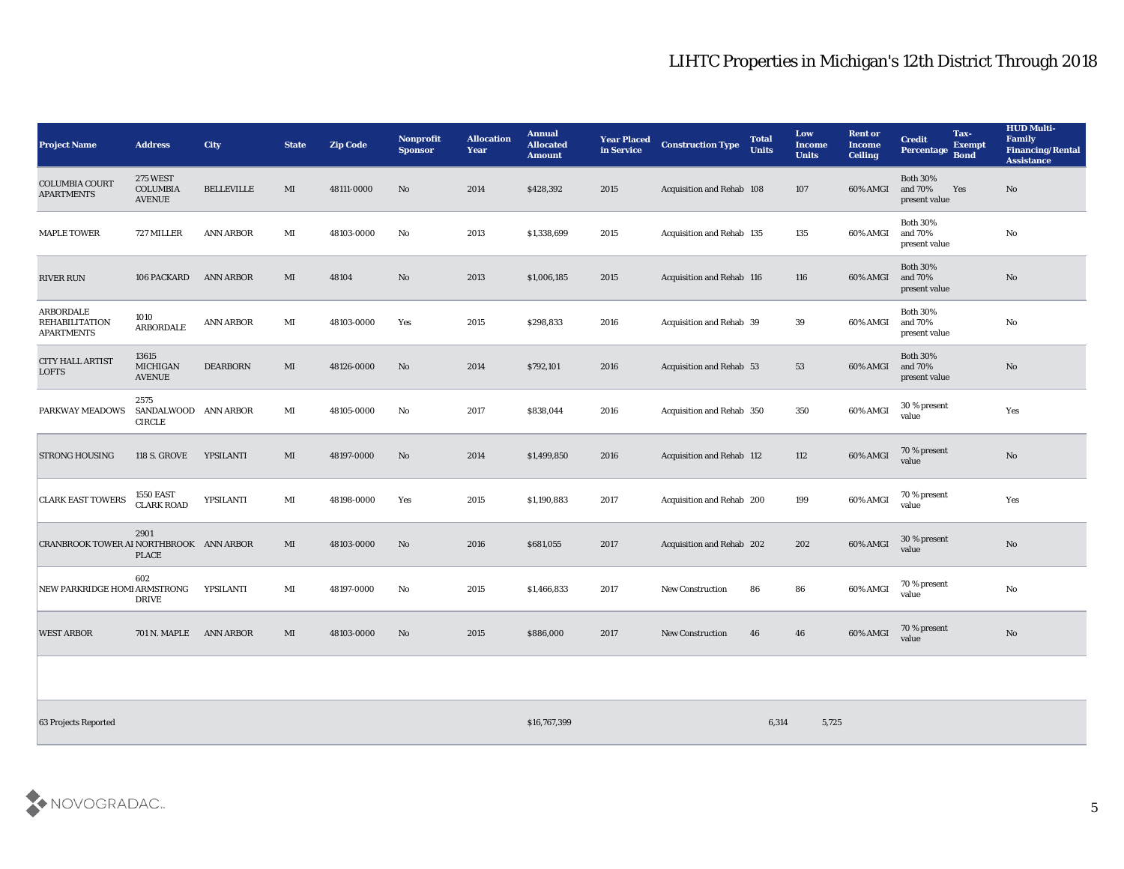| <b>Project Name</b>                                            | <b>Address</b>                                      | City              | <b>State</b> | Zip Code   | Nonprofit<br><b>Sponsor</b> | <b>Allocation</b><br>Year | <b>Annual</b><br><b>Allocated</b><br><b>Amount</b> | <b>Year Placed</b><br>in Service | <b>Construction Type</b>         | <b>Total</b><br><b>Units</b> | Low<br><b>Income</b><br><b>Units</b> | <b>Rent or</b><br><b>Income</b><br><b>Ceiling</b> | <b>Credit</b><br>Percentage Bond            | Tax-<br><b>Exempt</b> | <b>HUD Multi-</b><br>Family<br><b>Financing/Rental</b><br><b>Assistance</b> |
|----------------------------------------------------------------|-----------------------------------------------------|-------------------|--------------|------------|-----------------------------|---------------------------|----------------------------------------------------|----------------------------------|----------------------------------|------------------------------|--------------------------------------|---------------------------------------------------|---------------------------------------------|-----------------------|-----------------------------------------------------------------------------|
| <b>COLUMBIA COURT</b><br><b>APARTMENTS</b>                     | <b>275 WEST</b><br><b>COLUMBIA</b><br><b>AVENUE</b> | <b>BELLEVILLE</b> | MI           | 48111-0000 | No                          | 2014                      | \$428,392                                          | 2015                             | Acquisition and Rehab 108        |                              | 107                                  | 60% AMGI                                          | <b>Both 30%</b><br>and 70%<br>present value | Yes                   | No                                                                          |
| <b>MAPLE TOWER</b>                                             | 727 MILLER                                          | <b>ANN ARBOR</b>  | MI           | 48103-0000 | No                          | 2013                      | \$1,338,699                                        | 2015                             | Acquisition and Rehab 135        |                              | 135                                  | 60% AMGI                                          | <b>Both 30%</b><br>and 70%<br>present value |                       | $\mathbf{N}\mathbf{o}$                                                      |
| <b>RIVER RUN</b>                                               | 106 PACKARD                                         | <b>ANN ARBOR</b>  | MI           | 48104      | No                          | 2013                      | \$1,006,185                                        | 2015                             | <b>Acquisition and Rehab 116</b> |                              | 116                                  | 60% AMGI                                          | <b>Both 30%</b><br>and 70%<br>present value |                       | $\rm \bf No$                                                                |
| <b>ARBORDALE</b><br><b>REHABILITATION</b><br><b>APARTMENTS</b> | 1010<br><b>ARBORDALE</b>                            | <b>ANN ARBOR</b>  | MI           | 48103-0000 | Yes                         | 2015                      | \$298,833                                          | 2016                             | <b>Acquisition and Rehab 39</b>  |                              | 39                                   | 60% AMGI                                          | <b>Both 30%</b><br>and 70%<br>present value |                       | $\rm \bf No$                                                                |
| <b>CITY HALL ARTIST</b><br><b>LOFTS</b>                        | 13615<br><b>MICHIGAN</b><br><b>AVENUE</b>           | <b>DEARBORN</b>   | MI           | 48126-0000 | No                          | 2014                      | \$792,101                                          | 2016                             | Acquisition and Rehab 53         |                              | 53                                   | 60% AMGI                                          | <b>Both 30%</b><br>and 70%<br>present value |                       | No                                                                          |
| PARKWAY MEADOWS                                                | 2575<br>SANDALWOOD ANN ARBOR<br><b>CIRCLE</b>       |                   | MI           | 48105-0000 | No                          | 2017                      | \$838,044                                          | 2016                             | Acquisition and Rehab 350        |                              | 350                                  | 60% AMGI                                          | 30 % present<br>value                       |                       | Yes                                                                         |
| <b>STRONG HOUSING</b>                                          | <b>118 S. GROVE</b>                                 | YPSILANTI         | MI           | 48197-0000 | No                          | 2014                      | \$1,499,850                                        | 2016                             | Acquisition and Rehab 112        |                              | 112                                  | 60% AMGI                                          | 70 % present<br>value                       |                       | No                                                                          |
| <b>CLARK EAST TOWERS</b>                                       | <b>1550 EAST</b><br><b>CLARK ROAD</b>               | YPSILANTI         | MI           | 48198-0000 | Yes                         | 2015                      | \$1,190,883                                        | 2017                             | Acquisition and Rehab 200        |                              | 199                                  | 60% AMGI                                          | 70 % present<br>value                       |                       | Yes                                                                         |
| CRANBROOK TOWER AI NORTHBROOK ANN ARBOR                        | 2901<br><b>PLACE</b>                                |                   | $\mathbf{M}$ | 48103-0000 | No                          | 2016                      | \$681,055                                          | 2017                             | Acquisition and Rehab 202        |                              | 202                                  | 60% AMGI                                          | 30 % present<br>value                       |                       | No                                                                          |
| NEW PARKRIDGE HOMI ARMSTRONG                                   | 602<br><b>DRIVE</b>                                 | YPSILANTI         | MI           | 48197-0000 | No                          | 2015                      | \$1,466,833                                        | 2017                             | <b>New Construction</b>          | 86                           | 86                                   | 60% AMGI                                          | 70 % present<br>value                       |                       | $\rm \bf No$                                                                |
| <b>WEST ARBOR</b>                                              | 701 N. MAPLE                                        | <b>ANN ARBOR</b>  | MI           | 48103-0000 | No                          | 2015                      | \$886,000                                          | 2017                             | <b>New Construction</b>          | 46                           | 46                                   | 60% AMGI                                          | 70 % present<br>value                       |                       | $\rm \bf No$                                                                |
|                                                                |                                                     |                   |              |            |                             |                           |                                                    |                                  |                                  |                              |                                      |                                                   |                                             |                       |                                                                             |

63 Projects Reported \$16,767,399 6,314 5,725